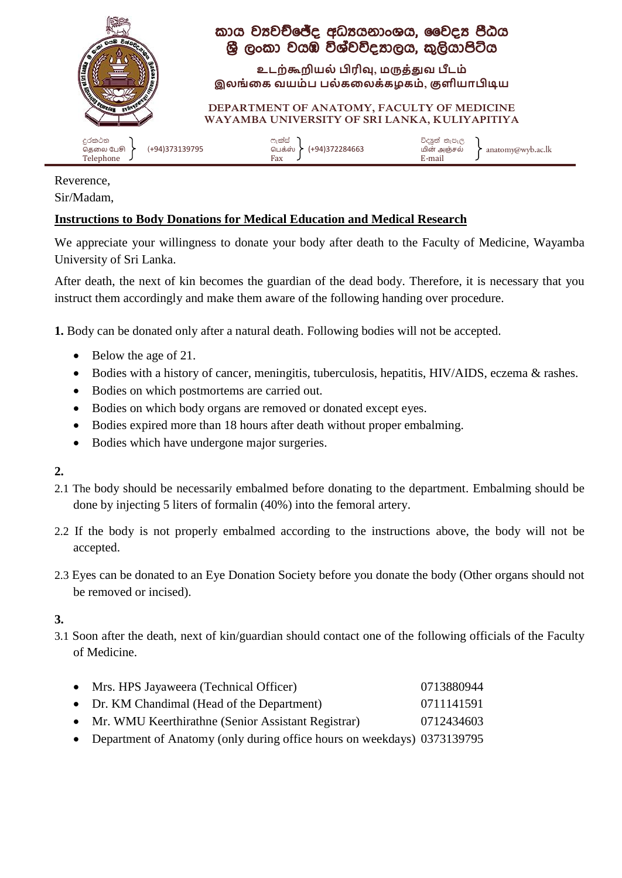

## කාය වූවච්ජේද අධ්යයනාංශය, වෛදය පීඨය ශ්රී ලාංකා ව්යඹ විශ්ව්විදයාලය, කුලියාපිටිය

**உடற்கூறியல் பிரிவு, மருத்துவ பீடம் இலங்கை வயம் ப பல் ைகலை்ைழைம், குளியாபிடிய**

**DEPARTMENT OF ANATOMY, FACULTY OF MEDICINE WAYAMBA UNIVERSITY OF SRI LANKA, KULIYAPITIYA**

|--|

Reverence, Sir/Madam,

## **Instructions to Body Donations for Medical Education and Medical Research**

We appreciate your willingness to donate your body after death to the Faculty of Medicine, Wayamba University of Sri Lanka.

After death, the next of kin becomes the guardian of the dead body. Therefore, it is necessary that you instruct them accordingly and make them aware of the following handing over procedure.

**1.** Body can be donated only after a natural death. Following bodies will not be accepted.

- Below the age of 21.
- Bodies with a history of cancer, meningitis, tuberculosis, hepatitis, HIV/AIDS, eczema & rashes.
- Bodies on which postmortems are carried out.
- Bodies on which body organs are removed or donated except eyes.
- Bodies expired more than 18 hours after death without proper embalming.
- Bodies which have undergone major surgeries.

**2.**

- 2.1 The body should be necessarily embalmed before donating to the department. Embalming should be done by injecting 5 liters of formalin (40%) into the femoral artery.
- 2.2 If the body is not properly embalmed according to the instructions above, the body will not be accepted.
- 2.3 Eyes can be donated to an Eye Donation Society before you donate the body (Other organs should not be removed or incised).

**3.** 

3.1 Soon after the death, next of kin/guardian should contact one of the following officials of the Faculty of Medicine.

| • Mrs. HPS Jayaweera (Technical Officer)                                  | 0713880944 |
|---------------------------------------------------------------------------|------------|
| • Dr. KM Chandimal (Head of the Department)                               | 0711141591 |
| • Mr. WMU Keerthirathne (Senior Assistant Registrar)                      | 0712434603 |
| • Department of Anatomy (only during office hours on weekdays) 0373139795 |            |